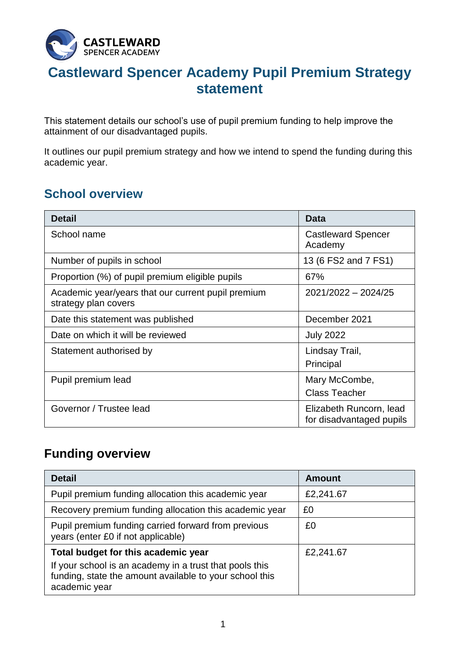

# **Castleward Spencer Academy Pupil Premium Strategy statement**

This statement details our school's use of pupil premium funding to help improve the attainment of our disadvantaged pupils.

It outlines our pupil premium strategy and how we intend to spend the funding during this academic year.

## **School overview**

| <b>Detail</b>                                                              | <b>Data</b>                                         |
|----------------------------------------------------------------------------|-----------------------------------------------------|
| School name                                                                | <b>Castleward Spencer</b><br>Academy                |
| Number of pupils in school                                                 | 13 (6 FS2 and 7 FS1)                                |
| Proportion (%) of pupil premium eligible pupils                            | 67%                                                 |
| Academic year/years that our current pupil premium<br>strategy plan covers | 2021/2022 - 2024/25                                 |
| Date this statement was published                                          | December 2021                                       |
| Date on which it will be reviewed                                          | <b>July 2022</b>                                    |
| Statement authorised by                                                    | Lindsay Trail,<br>Principal                         |
| Pupil premium lead                                                         | Mary McCombe,<br><b>Class Teacher</b>               |
| Governor / Trustee lead                                                    | Elizabeth Runcorn, lead<br>for disadvantaged pupils |

# **Funding overview**

| <b>Detail</b>                                                                                                                       | <b>Amount</b> |
|-------------------------------------------------------------------------------------------------------------------------------------|---------------|
| Pupil premium funding allocation this academic year                                                                                 | £2,241.67     |
| Recovery premium funding allocation this academic year                                                                              | £0            |
| Pupil premium funding carried forward from previous<br>years (enter £0 if not applicable)                                           | £0            |
| Total budget for this academic year                                                                                                 | £2,241.67     |
| If your school is an academy in a trust that pools this<br>funding, state the amount available to your school this<br>academic year |               |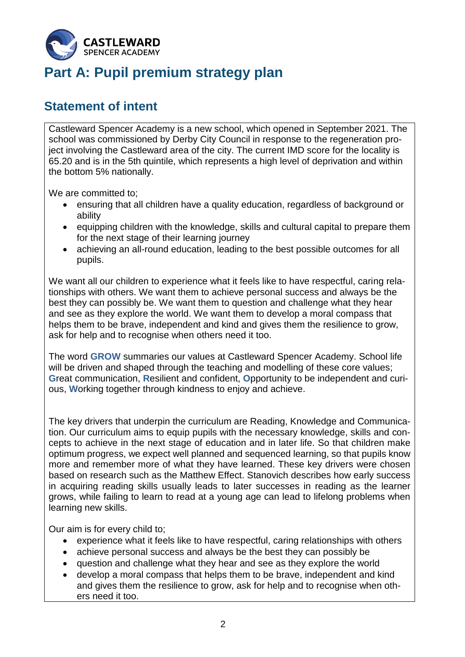

# **Part A: Pupil premium strategy plan**

#### **Statement of intent**

Castleward Spencer Academy is a new school, which opened in September 2021. The school was commissioned by Derby City Council in response to the regeneration project involving the Castleward area of the city. The current IMD score for the locality is 65.20 and is in the 5th quintile, which represents a high level of deprivation and within the bottom 5% nationally.

We are committed to;

- ensuring that all children have a quality education, regardless of background or ability
- equipping children with the knowledge, skills and cultural capital to prepare them for the next stage of their learning journey
- achieving an all-round education, leading to the best possible outcomes for all pupils.

We want all our children to experience what it feels like to have respectful, caring relationships with others. We want them to achieve personal success and always be the best they can possibly be. We want them to question and challenge what they hear and see as they explore the world. We want them to develop a moral compass that helps them to be brave, independent and kind and gives them the resilience to grow, ask for help and to recognise when others need it too.

The word **GROW** summaries our values at Castleward Spencer Academy. School life will be driven and shaped through the teaching and modelling of these core values; **G**reat communication, **R**esilient and confident, **O**pportunity to be independent and curious, **W**orking together through kindness to enjoy and achieve.

The key drivers that underpin the curriculum are Reading, Knowledge and Communication. Our curriculum aims to equip pupils with the necessary knowledge, skills and concepts to achieve in the next stage of education and in later life. So that children make optimum progress, we expect well planned and sequenced learning, so that pupils know more and remember more of what they have learned. These key drivers were chosen based on research such as the Matthew Effect. Stanovich describes how early success in acquiring reading skills usually leads to later successes in reading as the learner grows, while failing to learn to read at a young age can lead to lifelong problems when learning new skills.

Our aim is for every child to;

- experience what it feels like to have respectful, caring relationships with others
- achieve personal success and always be the best they can possibly be
- question and challenge what they hear and see as they explore the world
- develop a moral compass that helps them to be brave, independent and kind and gives them the resilience to grow, ask for help and to recognise when others need it too.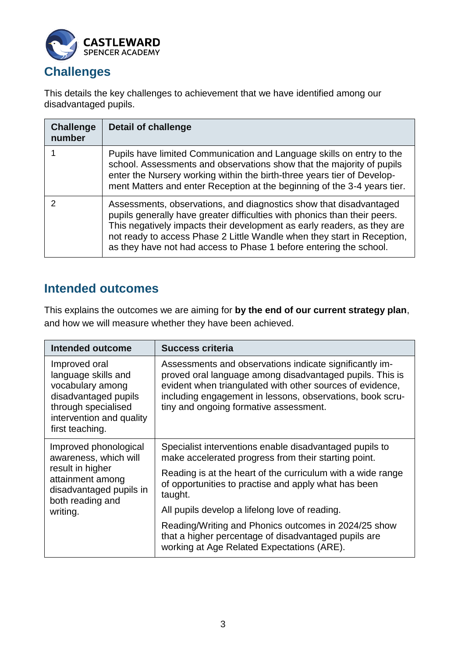

#### **Challenges**

This details the key challenges to achievement that we have identified among our disadvantaged pupils.

| <b>Challenge</b><br>number | <b>Detail of challenge</b>                                                                                                                                                                                                                                                                                                                                                  |
|----------------------------|-----------------------------------------------------------------------------------------------------------------------------------------------------------------------------------------------------------------------------------------------------------------------------------------------------------------------------------------------------------------------------|
|                            | Pupils have limited Communication and Language skills on entry to the<br>school. Assessments and observations show that the majority of pupils<br>enter the Nursery working within the birth-three years tier of Develop-<br>ment Matters and enter Reception at the beginning of the 3-4 years tier.                                                                       |
|                            | Assessments, observations, and diagnostics show that disadvantaged<br>pupils generally have greater difficulties with phonics than their peers.<br>This negatively impacts their development as early readers, as they are<br>not ready to access Phase 2 Little Wandle when they start in Reception,<br>as they have not had access to Phase 1 before entering the school. |

## **Intended outcomes**

This explains the outcomes we are aiming for **by the end of our current strategy plan**, and how we will measure whether they have been achieved.

| <b>Intended outcome</b>                                                                                                                                | <b>Success criteria</b>                                                                                                                                                                                                                                                                 |  |
|--------------------------------------------------------------------------------------------------------------------------------------------------------|-----------------------------------------------------------------------------------------------------------------------------------------------------------------------------------------------------------------------------------------------------------------------------------------|--|
| Improved oral<br>language skills and<br>vocabulary among<br>disadvantaged pupils<br>through specialised<br>intervention and quality<br>first teaching. | Assessments and observations indicate significantly im-<br>proved oral language among disadvantaged pupils. This is<br>evident when triangulated with other sources of evidence,<br>including engagement in lessons, observations, book scru-<br>tiny and ongoing formative assessment. |  |
| Improved phonological<br>awareness, which will                                                                                                         | Specialist interventions enable disadvantaged pupils to<br>make accelerated progress from their starting point.                                                                                                                                                                         |  |
| result in higher<br>attainment among<br>disadvantaged pupils in<br>both reading and<br>writing.                                                        | Reading is at the heart of the curriculum with a wide range<br>of opportunities to practise and apply what has been<br>taught.                                                                                                                                                          |  |
|                                                                                                                                                        | All pupils develop a lifelong love of reading.                                                                                                                                                                                                                                          |  |
|                                                                                                                                                        | Reading/Writing and Phonics outcomes in 2024/25 show<br>that a higher percentage of disadvantaged pupils are<br>working at Age Related Expectations (ARE).                                                                                                                              |  |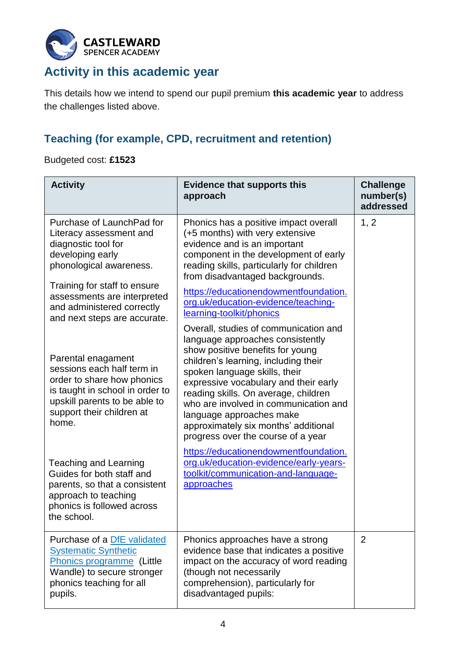

# **Activity in this academic year**

This details how we intend to spend our pupil premium **this academic year** to address the challenges listed above.

#### **Teaching (for example, CPD, recruitment and retention)**

Budgeted cost: **£1523**

| <b>Activity</b>                                                                                                                                                                                                          | <b>Evidence that supports this</b><br>approach                                                                                                                                                                                                                                                                                                                                                                             | <b>Challenge</b><br>number(s)<br>addressed |
|--------------------------------------------------------------------------------------------------------------------------------------------------------------------------------------------------------------------------|----------------------------------------------------------------------------------------------------------------------------------------------------------------------------------------------------------------------------------------------------------------------------------------------------------------------------------------------------------------------------------------------------------------------------|--------------------------------------------|
| Purchase of LaunchPad for<br>Literacy assessment and<br>diagnostic tool for<br>developing early<br>phonological awareness.<br>Training for staff to ensure<br>assessments are interpreted<br>and administered correctly  | Phonics has a positive impact overall<br>(+5 months) with very extensive<br>evidence and is an important<br>component in the development of early<br>reading skills, particularly for children<br>from disadvantaged backgrounds.<br>https://educationendowmentfoundation.<br>org.uk/education-evidence/teaching-<br>learning-toolkit/phonics                                                                              | 1, 2                                       |
| and next steps are accurate.<br>Parental enagament<br>sessions each half term in<br>order to share how phonics<br>is taught in school in order to<br>upskill parents to be able to<br>support their children at<br>home. | Overall, studies of communication and<br>language approaches consistently<br>show positive benefits for young<br>children's learning, including their<br>spoken language skills, their<br>expressive vocabulary and their early<br>reading skills. On average, children<br>who are involved in communication and<br>language approaches make<br>approximately six months' additional<br>progress over the course of a year |                                            |
| Teaching and Learning<br>Guides for both staff and<br>parents, so that a consistent<br>approach to teaching<br>phonics is followed across<br>the school.                                                                 | https://educationendowmentfoundation.<br>org.uk/education-evidence/early-years-<br>toolkit/communication-and-language-<br>approaches                                                                                                                                                                                                                                                                                       |                                            |
| Purchase of a DfE validated<br><b>Systematic Synthetic</b><br>Phonics programme (Little<br>Wandle) to secure stronger<br>phonics teaching for all<br>pupils.                                                             | Phonics approaches have a strong<br>evidence base that indicates a positive<br>impact on the accuracy of word reading<br>(though not necessarily<br>comprehension), particularly for<br>disadvantaged pupils:                                                                                                                                                                                                              | $\overline{2}$                             |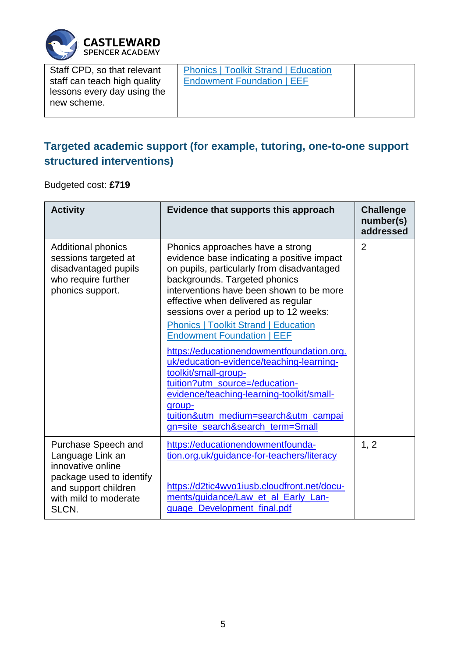

| Staff CPD, so that relevant                                                | <b>Phonics   Toolkit Strand   Education</b><br><b>Endowment Foundation   EEF</b> |  |
|----------------------------------------------------------------------------|----------------------------------------------------------------------------------|--|
| staff can teach high quality<br>lessons every day using the<br>new scheme. |                                                                                  |  |

# **Targeted academic support (for example, tutoring, one-to-one support structured interventions)**

Budgeted cost: **£719**

| <b>Activity</b>                                                                                                                                    | Evidence that supports this approach                                                                                                                                                                                                                                                                                                                                                                                                                                                                                                                                           | <b>Challenge</b><br>number(s)<br>addressed |
|----------------------------------------------------------------------------------------------------------------------------------------------------|--------------------------------------------------------------------------------------------------------------------------------------------------------------------------------------------------------------------------------------------------------------------------------------------------------------------------------------------------------------------------------------------------------------------------------------------------------------------------------------------------------------------------------------------------------------------------------|--------------------------------------------|
| <b>Additional phonics</b><br>sessions targeted at<br>disadvantaged pupils<br>who require further<br>phonics support.                               | Phonics approaches have a strong<br>evidence base indicating a positive impact<br>on pupils, particularly from disadvantaged<br>backgrounds. Targeted phonics<br>interventions have been shown to be more<br>effective when delivered as regular<br>sessions over a period up to 12 weeks:<br><b>Phonics   Toolkit Strand   Education</b><br><b>Endowment Foundation   EEF</b><br>https://educationendowmentfoundation.org.<br>uk/education-evidence/teaching-learning-<br>toolkit/small-group-<br>tuition?utm_source=/education-<br>evidence/teaching-learning-toolkit/small- | $\overline{2}$                             |
|                                                                                                                                                    | group-<br>tuition&utm_medium=search&utm_campai<br>gn=site_search&search_term=Small                                                                                                                                                                                                                                                                                                                                                                                                                                                                                             |                                            |
| Purchase Speech and<br>Language Link an<br>innovative online<br>package used to identify<br>and support children<br>with mild to moderate<br>SLCN. | https://educationendowmentfounda-<br>tion.org.uk/guidance-for-teachers/literacy<br>https://d2tic4wvo1iusb.cloudfront.net/docu-<br>ments/guidance/Law_et_al_Early_Lan-<br>guage Development final.pdf                                                                                                                                                                                                                                                                                                                                                                           | 1, 2                                       |